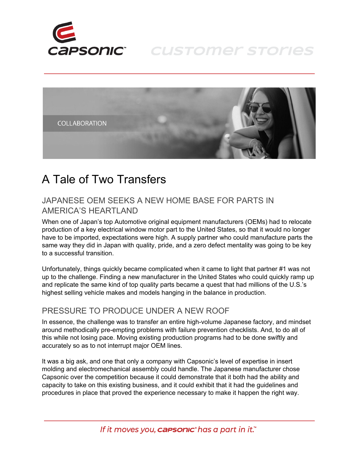

# **CUSTOMER STORIES**



## A Tale of Two Transfers

### JAPANESE OEM SEEKS A NEW HOME BASE FOR PARTS IN AMERICA'S HEARTLAND

When one of Japan's top Automotive original equipment manufacturers (OEMs) had to relocate production of a key electrical window motor part to the United States, so that it would no longer have to be imported, expectations were high. A supply partner who could manufacture parts the same way they did in Japan with quality, pride, and a zero defect mentality was going to be key to a successful transition.

Unfortunately, things quickly became complicated when it came to light that partner #1 was not up to the challenge. Finding a new manufacturer in the United States who could quickly ramp up and replicate the same kind of top quality parts became a quest that had millions of the U.S.'s highest selling vehicle makes and models hanging in the balance in production.

#### PRESSURE TO PRODUCE UNDER A NEW ROOF

In essence, the challenge was to transfer an entire high-volume Japanese factory, and mindset around methodically pre-empting problems with failure prevention checklists. And, to do all of this while not losing pace. Moving existing production programs had to be done swiftly and accurately so as to not interrupt major OEM lines.

It was a big ask, and one that only a company with Capsonic's level of expertise in insert molding and electromechanical assembly could handle. The Japanese manufacturer chose Capsonic over the competition because it could demonstrate that it both had the ability and capacity to take on this existing business, and it could exhibit that it had the guidelines and procedures in place that proved the experience necessary to make it happen the right way.